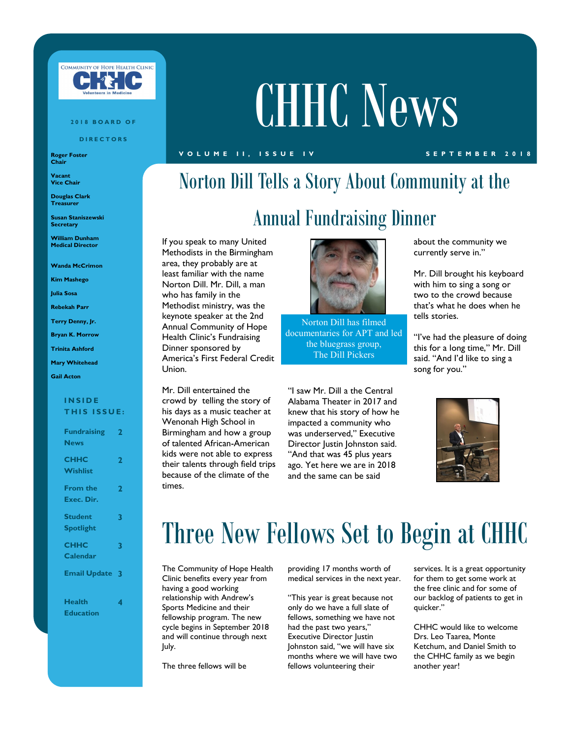

#### **2 0 1 8 B O A R D O F**

**D I R E C T O R S**

**Roger Foster Chair**

**Vacant Vice Chair**

**Douglas Clark Treasurer**

**Susan Staniszewski Secretary**

**William Dunham Medical Director**

**Wanda McCrimon**

**Kim Mashego**

**Julia Sosa**

**Rebekah Parr**

**Terry Denny, Jr.**

**Bryan K. Morrow**

**Trinita Ashford**

### **Mary Whitehead**

**Gail Acton**

### **I N S I D E THIS ISSUE:**

| <b>Fundraising</b><br><b>News</b> | $\mathbf{2}$ |
|-----------------------------------|--------------|
| <b>CHHC</b><br><b>Wishlist</b>    | 2            |
| <b>From the</b><br>Exec. Dir.     | 2            |
| <b>Student</b>                    | 3            |
| <b>Spotlight</b><br><b>CHHC</b>   | 3            |
| Calendar<br><b>Email Update 3</b> |              |
| <b>Health</b>                     | 4            |
| <b>Education</b>                  |              |

# CHHC News

### **V O L U M E I I , I S S U E I V S E P T E M B E R 2 0 1 8**

# Norton Dill Tells a Story About Community at the Annual Fundraising Dinner

If you speak to many United Methodists in the Birmingham area, they probably are at least familiar with the name Norton Dill. Mr. Dill, a man who has family in the Methodist ministry, was the keynote speaker at the 2nd Annual Community of Hope Health Clinic's Fundraising Dinner sponsored by America's First Federal Credit Union.

Mr. Dill entertained the crowd by telling the story of his days as a music teacher at Wenonah High School in Birmingham and how a group of talented African-American kids were not able to express their talents through field trips because of the climate of the times.



Norton Dill has filmed documentaries for APT and led the bluegrass group, The Dill Pickers

"I saw Mr. Dill a the Central Alabama Theater in 2017 and knew that his story of how he impacted a community who was underserved," Executive Director Justin Johnston said. "And that was 45 plus years ago. Yet here we are in 2018 and the same can be said

about the community we currently serve in."

Mr. Dill brought his keyboard with him to sing a song or two to the crowd because that's what he does when he tells stories.

"I've had the pleasure of doing this for a long time," Mr. Dill said. "And I'd like to sing a song for you."



# Three New Fellows Set to Begin at CHHC

The Community of Hope Health Clinic benefits every year from having a good working relationship with Andrew's Sports Medicine and their fellowship program. The new cycle begins in September 2018 and will continue through next July.

The three fellows will be

providing 17 months worth of medical services in the next year.

"This year is great because not only do we have a full slate of fellows, something we have not had the past two years," Executive Director Justin Johnston said, "we will have six months where we will have two fellows volunteering their

services. It is a great opportunity for them to get some work at the free clinic and for some of our backlog of patients to get in quicker."

CHHC would like to welcome Drs. Leo Taarea, Monte Ketchum, and Daniel Smith to the CHHC family as we begin another year!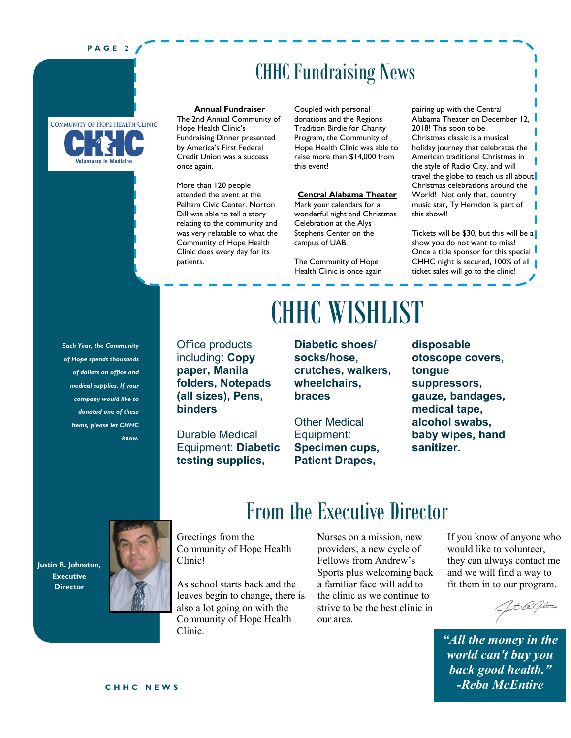### **P A G E 2**



### CHHC Fundraising News

### **Annual Fundraiser**

The 2nd Annual Community of Hope Health Clinic's Fundraising Dinner presented by America's First Federal Credit Union was a success once again.

More than 120 people attended the event at the Pelham Civic Center. Norton Dill was able to tell a story relating to the community and was very relatable to what the Community of Hope Health Clinic does every day for its patients.

Coupled with personal donations and the Regions Tradition Birdie for Charity Program, the Community of Hope Health Clinic was able to raise more than \$14,000 from this event!

### **Central Alabama Theater**

Mark your calendars for a wonderful night and Christmas Celebration at the Alys Stephens Center on the campus of UAB.

The Community of Hope Health Clinic is once again

Alabama Theater on December 12, 2018! This soon to be Christmas classic is a musical holiday journey that celebrates the American traditional Christmas in the style of Radio City, and will travel the globe to teach us all about Christmas celebrations around the World! Not only that, country music star, Ty Herndon is part of this show!!

pairing up with the Central

Tickets will be \$30, but this will be a show you do not want to miss! Once a title sponsor for this special CHHC night is secured, 100% of all 1 ticket sales will go to the clinic!

*Each Year, the Community of Hope spends thousands of dollars on office and medical supplies. If your company would like to donated one of these items, please let CHHC know.* 

Office products including: **Copy paper, Manila folders, Notepads (all sizes), Pens, binders**

Durable Medical Equipment: **Diabetic testing supplies,** 

# CHHC WISHLIST

**Diabetic shoes/ socks/hose, crutches, walkers, wheelchairs, braces**

Other Medical Equipment: **Specimen cups, Patient Drapes,** 

**disposable otoscope covers, tongue suppressors, gauze, bandages, medical tape, alcohol swabs, baby wipes, hand sanitizer.**

### From the Executive Director

**Justin R. Johnston, Executive Director**



Greetings from the Community of Hope Health Clinic!

As school starts back and the leaves begin to change, there is also a lot going on with the Community of Hope Health Clinic.

Nurses on a mission, new providers, a new cycle of Fellows from Andrew's Sports plus welcoming back a familiar face will add to the clinic as we continue to strive to be the best clinic in our area.

If you know of anyone who would like to volunteer, they can always contact me and we will find a way to fit them in to our program.

*"All the money in the world can't buy you back good health." -Reba McEntire*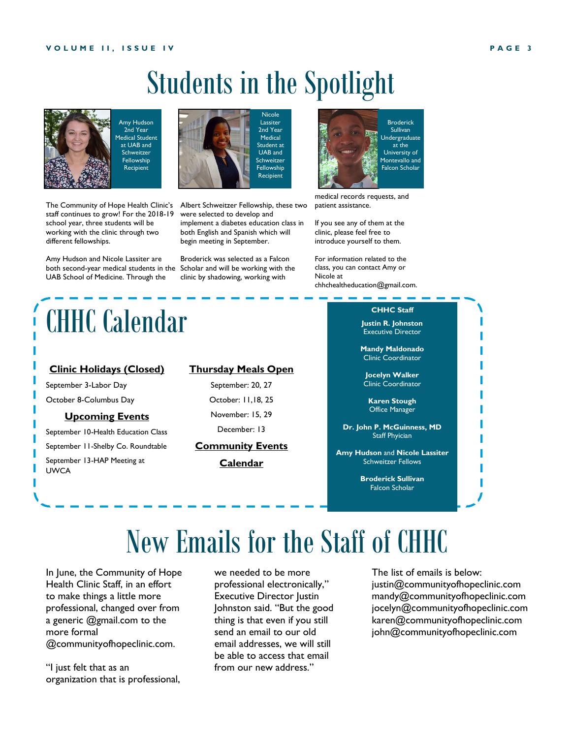# Students in the Spotlight

Nicole Lassiter 2nd Year Medical Student at UAB and **Schweitzer Fellowship Recipient** 



The Community of Hope Health Clinic's staff continues to grow! For the 2018-19 school year, three students will be working with the clinic through two different fellowships.

Amy Hudson and Nicole Lassiter are both second-year medical students in the Scholar and will be working with the UAB School of Medicine. Through the

# CHHC Calendar

### **Clinic Holidays (Closed)**

September 3-Labor Day October 8-Columbus Day

### **Upcoming Events**

September 10-Health Education Class September 11-Shelby Co. Roundtable

September 13-HAP Meeting at UWCA

### **Thursday Meals Open**

Albert Schweitzer Fellowship, these two were selected to develop and implement a diabetes education class in both English and Spanish which will begin meeting in September.

Broderick was selected as a Falcon clinic by shadowing, working with

> September: 20, 27 October: 11,18, 25 November: 15, 29 December: 13

### **Community Events**

**Calendar**



medical records requests, and patient assistance.

If you see any of them at the clinic, please feel free to introduce yourself to them.

For information related to the class, you can contact Amy or Nicole at chhchealtheducation@gmail.com.

### **CHHC Staff**

**Justin R. Johnston**  Executive Director

**Mandy Maldonado**  Clinic Coordinator

**Jocelyn Walker** Clinic Coordinator

**Karen Stough** Office Manager

**Dr. John P. McGuinness, MD** Staff Phyician

**Amy Hudson** and **Nicole Lassiter** Schweitzer Fellows

> **Broderick Sullivan** Falcon Scholar

# New Emails for the Staff of CHHC

In June, the Community of Hope Health Clinic Staff, in an effort to make things a little more professional, changed over from a generic @gmail.com to the more formal @communityofhopeclinic.com.

"I just felt that as an organization that is professional,

we needed to be more professional electronically," Executive Director Justin Johnston said. "But the good thing is that even if you still send an email to our old email addresses, we will still be able to access that email from our new address."

The list of emails is below: justin@communityofhopeclinic.com mandy@communityofhopeclinic.com jocelyn@communityofhopeclinic.com karen@communityofhopeclinic.com john@communityofhopeclinic.com